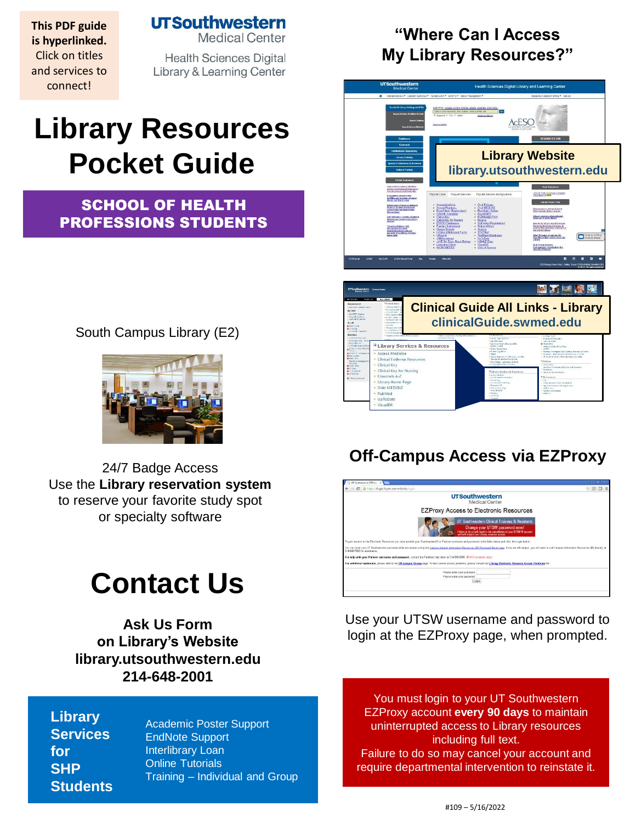**This PDF guide is hyperlinked.**  Click on titles and services to connect!

**UTSouthwestern** 

**Medical Center** 

**Health Sciences Digital Library & Learning Center** 

# **Library Resources Pocket Guide**

### SCHOOL OF HEALTH PROFESSIONS STUDENTS

South Campus Library (E2)



24/7 Badge Access Use the **[Library reservation system](https://library.utsouthwestern.edu/main/libreserve.aspx)**  to reserve your favorite study spot [or specialty so](http://library.utsouthwestern.edu/links/linkUsage.cfm?linkID=8439)[ftware](http://library.utsouthwestern.edu/links/linkUsage.cfm?linkID=7124)

# **Contact Us**

**[Ask Us Form](http://library.utsouthwestern.edu/main/portals/jpull2.aspx?6385) on Library's Website library.utsouthwestern.edu 214-648-2001**

**Li[brary](http://library.utsouthwestern.edu/)  Services for SHP Students**

[Academic Poster Support](http://library.utsouthwestern.edu/main/portals/jpull2.aspx?8444) [EndNote Support](http://library.utsouthwestern.edu/main/portals/jpull2.aspx?3246) [Interlibrary Loan](http://library.utsouthwestern.edu/main/portals/jpull2.aspx?1876) [Online Tutorials](http://library.utsouthwestern.edu/main/portals/jpull2.aspx?3896) Training – [Individual and Grou](http://library.utsouthwestern.edu/main/portals/jpull2.aspx?2755)p

## **"Where Can I Access My Library Resources?"**





## **Off-Campus Access via EZProxy**



Use your UTSW username and password to login at the EZProxy page, when prompted.

You must login to your UT Southwestern EZProxy account **every 90 days** to maintain uninterrupted access to Library resources including full text. Failure to do so may cancel your account and require departmental intervention to reinstate it.